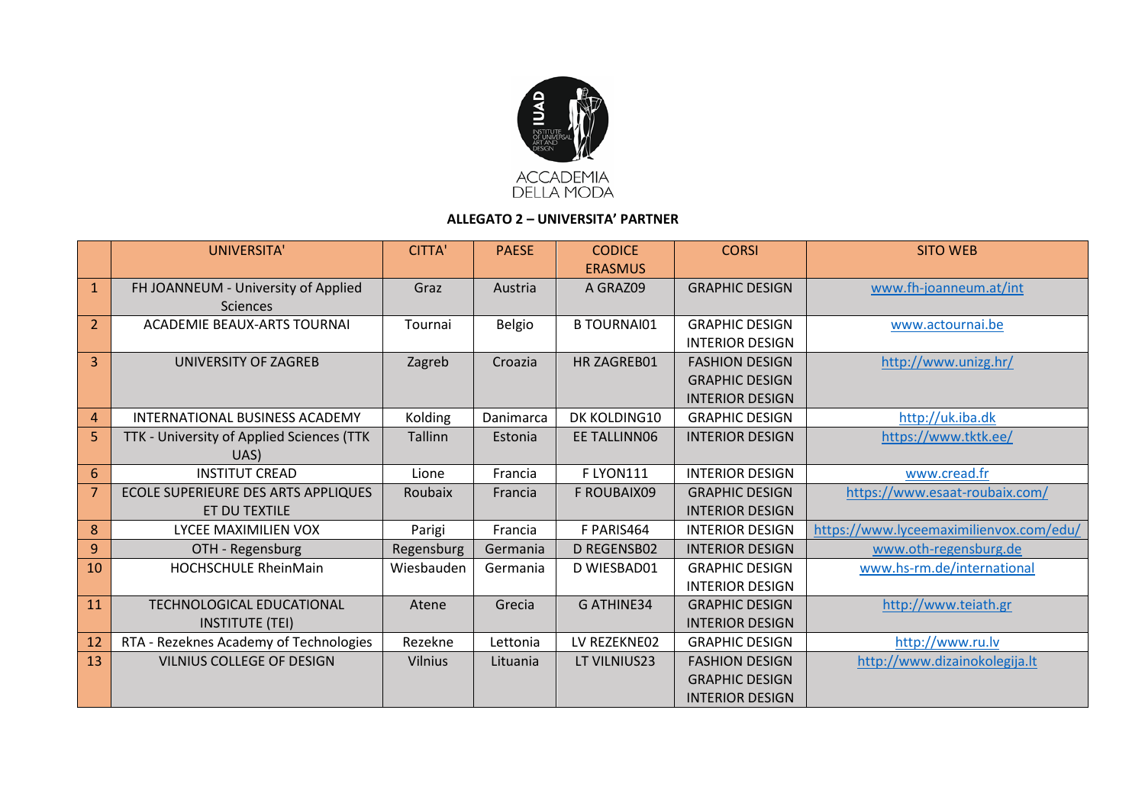

## **ALLEGATO 2 – UNIVERSITA' PARTNER**

|                | UNIVERSITA'                               | <b>CITTA'</b>  | <b>PAESE</b> | <b>CODICE</b>      | <b>CORSI</b>           | <b>SITO WEB</b>                         |
|----------------|-------------------------------------------|----------------|--------------|--------------------|------------------------|-----------------------------------------|
|                |                                           |                |              | <b>ERASMUS</b>     |                        |                                         |
| $\mathbf{1}$   | FH JOANNEUM - University of Applied       | Graz           | Austria      | A GRAZ09           | <b>GRAPHIC DESIGN</b>  | www.fh-joanneum.at/int                  |
|                | <b>Sciences</b>                           |                |              |                    |                        |                                         |
| $\overline{2}$ | <b>ACADEMIE BEAUX-ARTS TOURNAI</b>        | Tournai        | Belgio       | <b>B TOURNAIO1</b> | <b>GRAPHIC DESIGN</b>  | www.actournai.be                        |
|                |                                           |                |              |                    | <b>INTERIOR DESIGN</b> |                                         |
| $\overline{3}$ | <b>UNIVERSITY OF ZAGREB</b>               | Zagreb         | Croazia      | <b>HR ZAGREB01</b> | <b>FASHION DESIGN</b>  | http://www.unizg.hr/                    |
|                |                                           |                |              |                    | <b>GRAPHIC DESIGN</b>  |                                         |
|                |                                           |                |              |                    | <b>INTERIOR DESIGN</b> |                                         |
| $\overline{4}$ | <b>INTERNATIONAL BUSINESS ACADEMY</b>     | Kolding        | Danimarca    | DK KOLDING10       | <b>GRAPHIC DESIGN</b>  | http://uk.iba.dk                        |
| 5              | TTK - University of Applied Sciences (TTK | <b>Tallinn</b> | Estonia      | EE TALLINN06       | <b>INTERIOR DESIGN</b> | https://www.tktk.ee/                    |
|                | UAS)                                      |                |              |                    |                        |                                         |
| 6              | <b>INSTITUT CREAD</b>                     | Lione          | Francia      | F LYON111          | <b>INTERIOR DESIGN</b> | www.cread.fr                            |
| $\overline{7}$ | ECOLE SUPERIEURE DES ARTS APPLIQUES       | Roubaix        | Francia      | F ROUBAIX09        | <b>GRAPHIC DESIGN</b>  | https://www.esaat-roubaix.com/          |
|                | ET DU TEXTILE                             |                |              |                    | <b>INTERIOR DESIGN</b> |                                         |
| 8              | LYCEE MAXIMILIEN VOX                      | Parigi         | Francia      | F PARIS464         | <b>INTERIOR DESIGN</b> | https://www.lyceemaximilienvox.com/edu/ |
| $9$            | OTH - Regensburg                          | Regensburg     | Germania     | <b>D REGENSB02</b> | <b>INTERIOR DESIGN</b> | www.oth-regensburg.de                   |
| 10             | <b>HOCHSCHULE RheinMain</b>               | Wiesbauden     | Germania     | D WIESBAD01        | <b>GRAPHIC DESIGN</b>  | www.hs-rm.de/international              |
|                |                                           |                |              |                    | <b>INTERIOR DESIGN</b> |                                         |
| 11             | <b>TECHNOLOGICAL EDUCATIONAL</b>          | Atene          | Grecia       | G ATHINE34         | <b>GRAPHIC DESIGN</b>  | http://www.teiath.gr                    |
|                | <b>INSTITUTE (TEI)</b>                    |                |              |                    | <b>INTERIOR DESIGN</b> |                                         |
| 12             | RTA - Rezeknes Academy of Technologies    | Rezekne        | Lettonia     | LV REZEKNE02       | <b>GRAPHIC DESIGN</b>  | http://www.ru.lv                        |
| 13             | <b>VILNIUS COLLEGE OF DESIGN</b>          | <b>Vilnius</b> | Lituania     | LT VILNIUS23       | <b>FASHION DESIGN</b>  | http://www.dizainokolegija.lt           |
|                |                                           |                |              |                    | <b>GRAPHIC DESIGN</b>  |                                         |
|                |                                           |                |              |                    | <b>INTERIOR DESIGN</b> |                                         |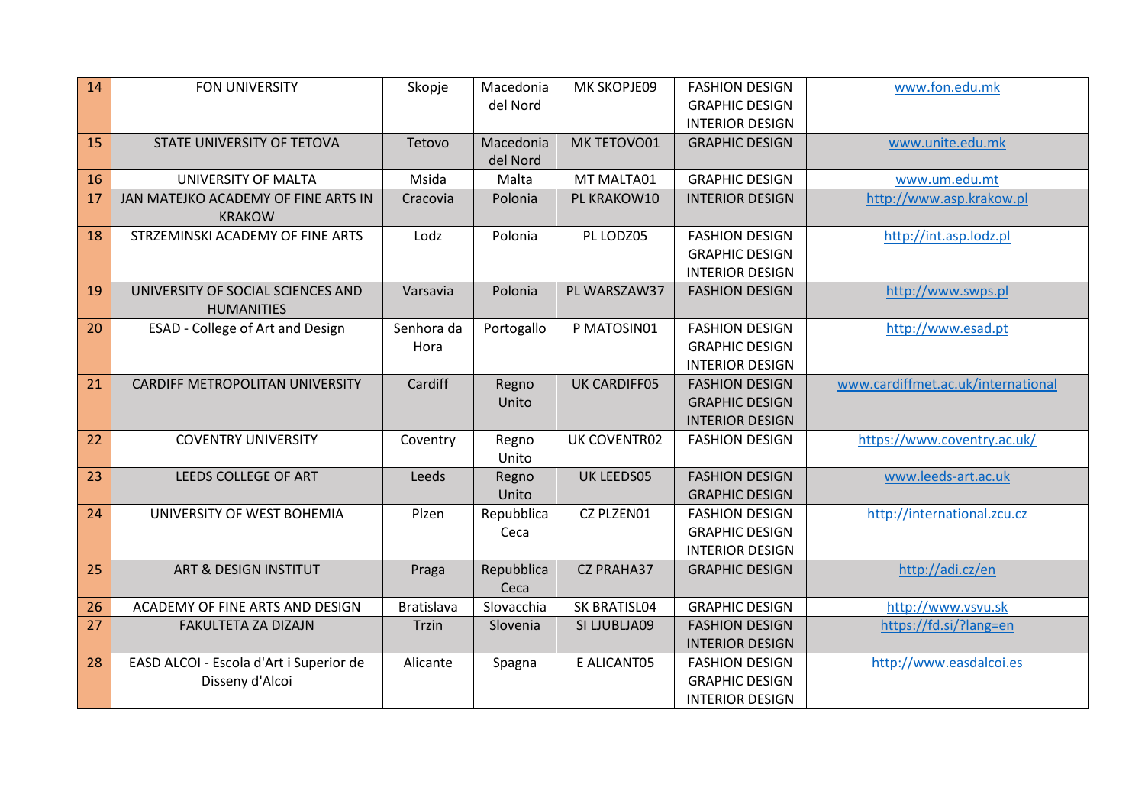| 14 | FON UNIVERSITY                                         | Skopje            | Macedonia      | MK SKOPJE09         | <b>FASHION DESIGN</b>  | www.fon.edu.mk                     |
|----|--------------------------------------------------------|-------------------|----------------|---------------------|------------------------|------------------------------------|
|    |                                                        |                   | del Nord       |                     | <b>GRAPHIC DESIGN</b>  |                                    |
|    |                                                        |                   |                |                     | <b>INTERIOR DESIGN</b> |                                    |
| 15 | STATE UNIVERSITY OF TETOVA                             | Tetovo            | Macedonia      | MK TETOVO01         | <b>GRAPHIC DESIGN</b>  | www.unite.edu.mk                   |
|    |                                                        |                   | del Nord       |                     |                        |                                    |
| 16 | UNIVERSITY OF MALTA                                    | Msida             | Malta          | MT MALTA01          | <b>GRAPHIC DESIGN</b>  | www.um.edu.mt                      |
| 17 | JAN MATEJKO ACADEMY OF FINE ARTS IN                    | Cracovia          | Polonia        | PL KRAKOW10         | <b>INTERIOR DESIGN</b> | http://www.asp.krakow.pl           |
|    | <b>KRAKOW</b>                                          |                   |                |                     |                        |                                    |
| 18 | STRZEMINSKI ACADEMY OF FINE ARTS                       | Lodz              | Polonia        | PL LODZ05           | <b>FASHION DESIGN</b>  | http://int.asp.lodz.pl             |
|    |                                                        |                   |                |                     | <b>GRAPHIC DESIGN</b>  |                                    |
|    |                                                        |                   |                |                     | <b>INTERIOR DESIGN</b> |                                    |
| 19 | UNIVERSITY OF SOCIAL SCIENCES AND<br><b>HUMANITIES</b> | Varsavia          | Polonia        | PL WARSZAW37        | <b>FASHION DESIGN</b>  | http://www.swps.pl                 |
| 20 | ESAD - College of Art and Design                       | Senhora da        | Portogallo     | P MATOSIN01         | <b>FASHION DESIGN</b>  | http://www.esad.pt                 |
|    |                                                        | Hora              |                |                     | <b>GRAPHIC DESIGN</b>  |                                    |
|    |                                                        |                   |                |                     | <b>INTERIOR DESIGN</b> |                                    |
| 21 | CARDIFF METROPOLITAN UNIVERSITY                        | Cardiff           | Regno          | <b>UK CARDIFF05</b> | <b>FASHION DESIGN</b>  | www.cardiffmet.ac.uk/international |
|    |                                                        |                   | Unito          |                     | <b>GRAPHIC DESIGN</b>  |                                    |
|    |                                                        |                   |                |                     | <b>INTERIOR DESIGN</b> |                                    |
| 22 | <b>COVENTRY UNIVERSITY</b>                             | Coventry          | Regno<br>Unito | <b>UK COVENTR02</b> | <b>FASHION DESIGN</b>  | https://www.coventry.ac.uk/        |
| 23 | LEEDS COLLEGE OF ART                                   | Leeds             | Regno          | UK LEEDS05          | <b>FASHION DESIGN</b>  | www.leeds-art.ac.uk                |
|    |                                                        |                   | Unito          |                     | <b>GRAPHIC DESIGN</b>  |                                    |
| 24 | UNIVERSITY OF WEST BOHEMIA                             | Plzen             | Repubblica     | CZ PLZEN01          | <b>FASHION DESIGN</b>  | http://international.zcu.cz        |
|    |                                                        |                   | Ceca           |                     | <b>GRAPHIC DESIGN</b>  |                                    |
|    |                                                        |                   |                |                     | <b>INTERIOR DESIGN</b> |                                    |
| 25 | ART & DESIGN INSTITUT                                  | Praga             | Repubblica     | <b>CZ PRAHA37</b>   | <b>GRAPHIC DESIGN</b>  | http://adi.cz/en                   |
|    |                                                        |                   | Ceca           |                     |                        |                                    |
| 26 | ACADEMY OF FINE ARTS AND DESIGN                        | <b>Bratislava</b> | Slovacchia     | SK BRATISL04        | <b>GRAPHIC DESIGN</b>  | http://www.vsvu.sk                 |
| 27 | FAKULTETA ZA DIZAJN                                    | Trzin             | Slovenia       | SI LJUBLJA09        | <b>FASHION DESIGN</b>  | https://fd.si/?lang=en             |
|    |                                                        |                   |                |                     | <b>INTERIOR DESIGN</b> |                                    |
| 28 | EASD ALCOI - Escola d'Art i Superior de                | Alicante          | Spagna         | E ALICANT05         | <b>FASHION DESIGN</b>  | http://www.easdalcoi.es            |
|    | Disseny d'Alcoi                                        |                   |                |                     | <b>GRAPHIC DESIGN</b>  |                                    |
|    |                                                        |                   |                |                     | <b>INTERIOR DESIGN</b> |                                    |